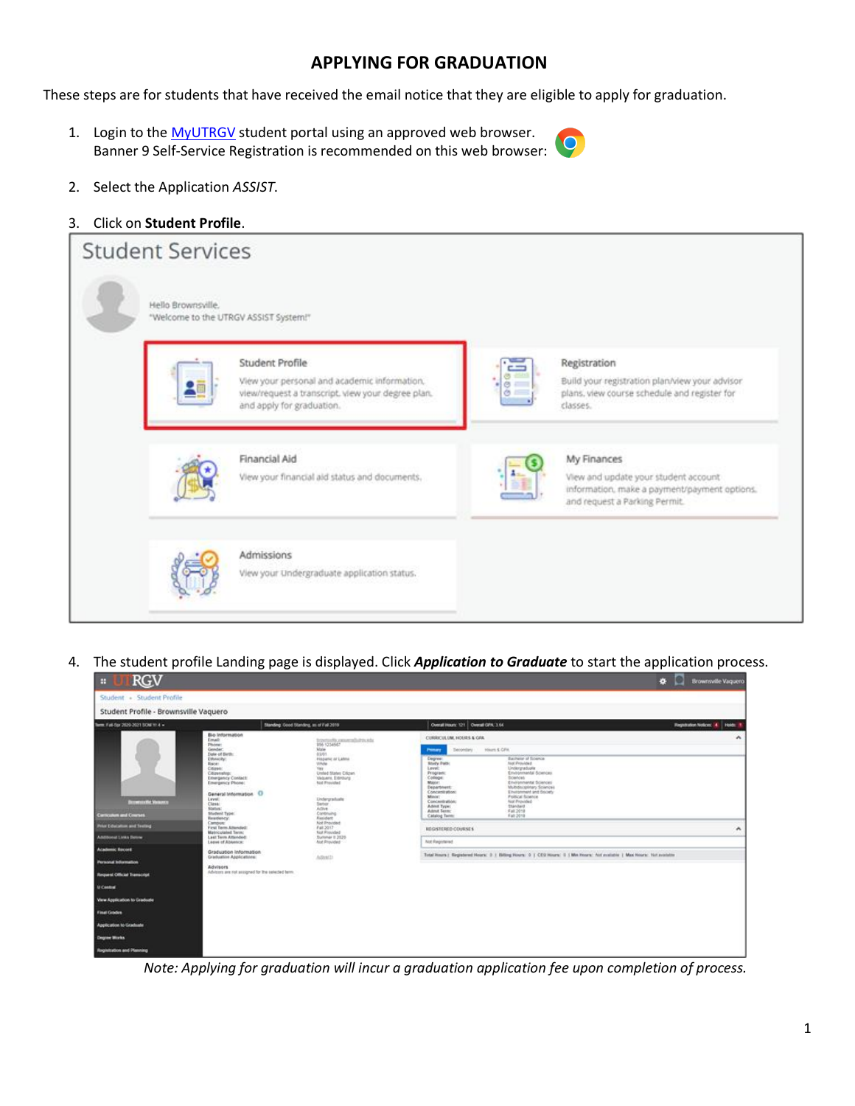# **APPLYING FOR GRADUATION**

These steps are for students that have received the email notice that they are eligible to apply for graduation.

1. Login to the [MyUTRGV](https://my.utrgv.edu/home) student portal using an approved web browser. Banner 9 Self-Service Registration is recommended on this web browser:



2. Select the Application *ASSIST*.

# 3. Click on **Student Profile**.

| <b>Student Services</b> |                                                                                                                                                   |   |                                                                                                                                      |
|-------------------------|---------------------------------------------------------------------------------------------------------------------------------------------------|---|--------------------------------------------------------------------------------------------------------------------------------------|
| Hello Brownsville.      | "Welcome to the UTRGV ASSIST System!"                                                                                                             |   |                                                                                                                                      |
|                         | Student Profile<br>View your personal and academic information.<br>view/request a transcript, view your degree plan.<br>and apply for graduation. | Ò | Registration<br>Build your registration plan/view your advisor<br>plans, view course schedule and register for<br>classes.           |
|                         | Financial Aid<br>View your financial aid status and documents.                                                                                    |   | My Finances<br>View and update your student account<br>information, make a payment/payment options.<br>and request a Parking Permit. |
|                         | Admissions<br>View your Undergraduate application status.                                                                                         |   |                                                                                                                                      |

4. The student profile Landing page is displayed. Click *Application to Graduate* to start the application process.

| <b>RGV</b><br>H                                                                                                                          |                                                                                                                                                                                                                                                                                      |                                                                                                                                                                                                                                                                       | 春                                                                                                                                                                                                                                                                                                                                                                                                                                                                                                                                                              | o<br><b>Brownsville Vaquero</b>            |                                                                                                                                              |  |
|------------------------------------------------------------------------------------------------------------------------------------------|--------------------------------------------------------------------------------------------------------------------------------------------------------------------------------------------------------------------------------------------------------------------------------------|-----------------------------------------------------------------------------------------------------------------------------------------------------------------------------------------------------------------------------------------------------------------------|----------------------------------------------------------------------------------------------------------------------------------------------------------------------------------------------------------------------------------------------------------------------------------------------------------------------------------------------------------------------------------------------------------------------------------------------------------------------------------------------------------------------------------------------------------------|--------------------------------------------|----------------------------------------------------------------------------------------------------------------------------------------------|--|
| Student - Student Profile                                                                                                                |                                                                                                                                                                                                                                                                                      |                                                                                                                                                                                                                                                                       |                                                                                                                                                                                                                                                                                                                                                                                                                                                                                                                                                                |                                            |                                                                                                                                              |  |
| Student Profile - Brownsville Vaquero                                                                                                    |                                                                                                                                                                                                                                                                                      |                                                                                                                                                                                                                                                                       |                                                                                                                                                                                                                                                                                                                                                                                                                                                                                                                                                                |                                            |                                                                                                                                              |  |
| Term. Fall-Spr 2020-2021 SOM Y/ 4 =                                                                                                      | Standing: Good Standing, as of Fail 2019                                                                                                                                                                                                                                             |                                                                                                                                                                                                                                                                       | Overall Hours: 121 Overall GPA: 3.64                                                                                                                                                                                                                                                                                                                                                                                                                                                                                                                           | <b>Registration Notices: AL</b><br>Holds I |                                                                                                                                              |  |
| <b>Browning Strategy</b><br><b>Carriershire and Courses</b>                                                                              | Bio Information<br>Email:<br>Phone:<br>Gender:<br>Date of Birth:<br>Ethnicity:<br>Race:<br>Citizen:<br>Citizenship:<br><b>Emergency Contact:</b><br><b>Emergency Phone:</b><br>General Information O<br>Livel:<br>Class:<br>Status:<br>Student Type:<br><b>Residency:</b><br>Campos: | traversells canonically the site.<br>955 1234567<br>Mate<br>03/01<br>Hispanic or Labos<br>Vitiche<br>Year.<br>Unded States Citizen<br>Veloers, Edroury<br>fild Provided<br>Undergraduate<br><b>Serier</b><br>Active.<br>Continuing<br>Resident<br><b>Not Provided</b> | CURRICULUM, HOURS & GFA.<br>Hinorii & GFW<br><b>Decordary</b><br>Primary<br>Degree:<br>Bachelor of Science:<br><b>Allegy Paids</b><br><b>Mall Provided</b><br>Level:<br>Lindergraduale<br><b>Program:</b><br>Environmental Sciences<br>College:<br><b>Bolences</b><br>Missour:<br>Environmental Sciences<br>Multids/goldary Sciences<br>Department:<br>Environment and Docker<br>Concentration:<br><b>Foltical fizience</b><br>Minor:<br>Aid Provided<br>Concentration:<br>Standard<br>Advert Type:<br>Ashnut Texas:<br>Fall 2018<br>Catalog Term<br>Fall 2018 | $\hat{\phantom{a}}$                        |                                                                                                                                              |  |
| Prise Education and Texting<br><b>Additional Links Europe</b>                                                                            | First Term Attended:<br>Matriculated Term:<br>Last Tayn Attended:                                                                                                                                                                                                                    | Fall 2017<br>Not Provided<br>Summer Il 2020                                                                                                                                                                                                                           | REGISTERED COURSES                                                                                                                                                                                                                                                                                                                                                                                                                                                                                                                                             | $\boldsymbol{\mathcal{A}}$                 |                                                                                                                                              |  |
| <b>Academic Record</b><br><b>Personal Information</b><br><b>Request Official Transcript</b><br>U Centrel<br>View Application to Graduate | Leave of Abbence:<br>Graduation Information<br>Graduation Applications:<br>Advisors<br>Advisors are not assigned for the celected term.                                                                                                                                              | Adhetti                                                                                                                                                                                                                                                               | <b>Aid Provided</b>                                                                                                                                                                                                                                                                                                                                                                                                                                                                                                                                            |                                            | Not Registered<br>Total Hours   Registered Hours: D   Billing Hours: D   CEO Hours: D   Min Hours: full available   Max Hours: Net available |  |
| <b>Final Gradies</b><br>Application to Graduate                                                                                          |                                                                                                                                                                                                                                                                                      |                                                                                                                                                                                                                                                                       |                                                                                                                                                                                                                                                                                                                                                                                                                                                                                                                                                                |                                            |                                                                                                                                              |  |
| Degree Works                                                                                                                             |                                                                                                                                                                                                                                                                                      |                                                                                                                                                                                                                                                                       |                                                                                                                                                                                                                                                                                                                                                                                                                                                                                                                                                                |                                            |                                                                                                                                              |  |
| <b>Registration and Planning</b>                                                                                                         |                                                                                                                                                                                                                                                                                      |                                                                                                                                                                                                                                                                       |                                                                                                                                                                                                                                                                                                                                                                                                                                                                                                                                                                |                                            |                                                                                                                                              |  |

*Note: Applying for graduation will incur a graduation application fee upon completion of process.*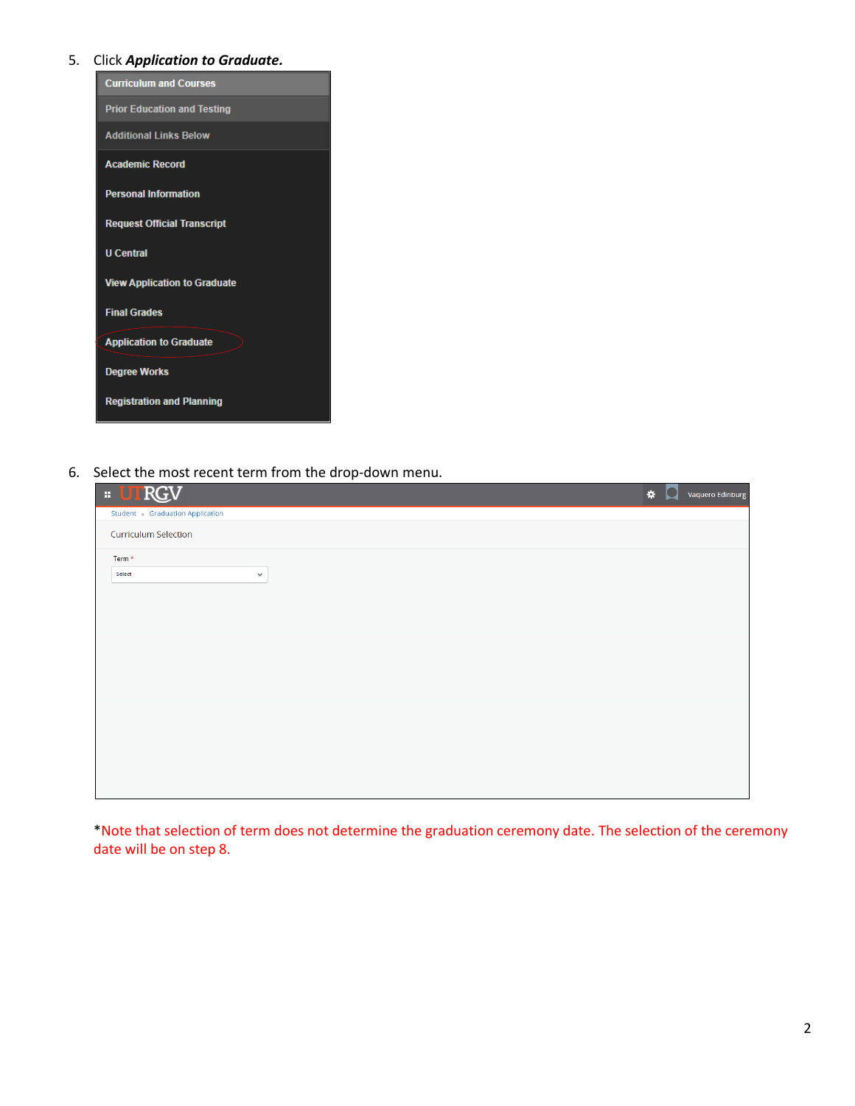# 5. Click *Application to Graduate.*

| <b>Curriculum and Courses</b>       |
|-------------------------------------|
| <b>Prior Education and Testing</b>  |
| <b>Additional Links Below</b>       |
| <b>Academic Record</b>              |
| <b>Personal Information</b>         |
| <b>Request Official Transcript</b>  |
| <b>U</b> Central                    |
| <b>View Application to Graduate</b> |
| <b>Final Grades</b>                 |
| <b>Application to Graduate</b>      |
| <b>Degree Works</b>                 |
| <b>Registration and Planning</b>    |

6. Select the most recent term from the drop-down menu.

| <b>E UTRGV</b>                 | * | Vaquero Edinburg |
|--------------------------------|---|------------------|
| Student Graduation Application |   |                  |
| <b>Curriculum Selection</b>    |   |                  |
| Term *                         |   |                  |
| Select<br>$\checkmark$         |   |                  |
|                                |   |                  |
|                                |   |                  |
|                                |   |                  |
|                                |   |                  |
|                                |   |                  |
|                                |   |                  |
|                                |   |                  |
|                                |   |                  |
|                                |   |                  |
|                                |   |                  |
|                                |   |                  |
|                                |   |                  |

\*Note that selection of term does not determine the graduation ceremony date. The selection of the ceremony date will be on step 8.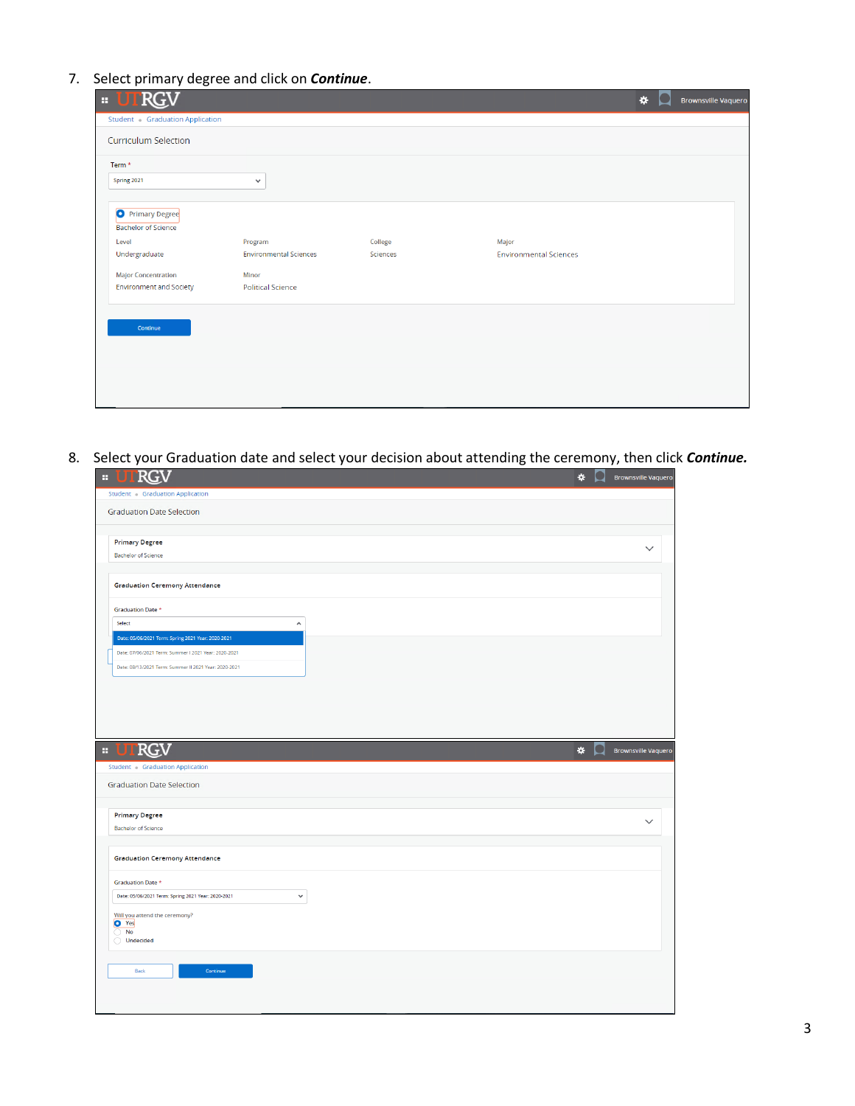7. Select primary degree and click on *Continue*.

| H | <b>RGN</b>                                            |                               |          |                               | * | <b>Brownsville Vaquero</b> |
|---|-------------------------------------------------------|-------------------------------|----------|-------------------------------|---|----------------------------|
|   | Student Graduation Application                        |                               |          |                               |   |                            |
|   | <b>Curriculum Selection</b>                           |                               |          |                               |   |                            |
|   | Term <sup>*</sup>                                     |                               |          |                               |   |                            |
|   | Spring 2021                                           | $\checkmark$                  |          |                               |   |                            |
|   | <b>O</b> Primary Degree<br><b>Bachelor of Science</b> |                               |          |                               |   |                            |
|   | Level                                                 | Program                       | College  | Major                         |   |                            |
|   | Undergraduate                                         | <b>Environmental Sciences</b> | Sciences | <b>Environmental Sciences</b> |   |                            |
|   | <b>Major Concentration</b>                            | <b>Minor</b>                  |          |                               |   |                            |
|   | <b>Environment and Society</b>                        | <b>Political Science</b>      |          |                               |   |                            |
|   | Continue                                              |                               |          |                               |   |                            |

8. Select your Graduation date and select your decision about attending the ceremony, then click *Continue.*

|   | <b>E UTRGV</b>                                                     | ۰            | <b>Brownsville Vaquero</b> |
|---|--------------------------------------------------------------------|--------------|----------------------------|
|   | Student Graduation Application                                     |              |                            |
|   | <b>Graduation Date Selection</b>                                   |              |                            |
|   |                                                                    |              |                            |
|   | <b>Primary Degree</b>                                              |              |                            |
|   | <b>Bachelor of Science</b>                                         |              | $\checkmark$               |
|   |                                                                    |              |                            |
|   | <b>Graduation Ceremony Attendance</b>                              |              |                            |
|   |                                                                    |              |                            |
|   | <b>Graduation Date *</b><br>Select<br>$\hat{\phantom{a}}$          |              |                            |
|   | Date: 05/06/2021 Term: Spring 2021 Year: 2020-2021                 |              |                            |
|   | Date: 07/06/2021 Term: Summer I 2021 Year: 2020-2021               |              |                            |
|   | Date: 08/13/2021 Term: Summer II 2021 Year: 2020-2021              |              |                            |
|   |                                                                    |              |                            |
|   |                                                                    |              |                            |
|   |                                                                    |              |                            |
|   |                                                                    |              |                            |
|   |                                                                    |              |                            |
|   |                                                                    |              |                            |
| H | RGV                                                                | $\star$<br>υ | <b>Brownsville Vaquero</b> |
|   | Student - Graduation Application                                   |              |                            |
|   | <b>Graduation Date Selection</b>                                   |              |                            |
|   |                                                                    |              |                            |
|   | <b>Primary Degree</b>                                              |              |                            |
|   | <b>Bachelor of Science</b>                                         |              | $\checkmark$               |
|   |                                                                    |              |                            |
|   | <b>Graduation Ceremony Attendance</b>                              |              |                            |
|   |                                                                    |              |                            |
|   | Graduation Date *                                                  |              |                            |
|   | Date: 05/06/2021 Term: Spring 2021 Year: 2020-2021<br>$\checkmark$ |              |                            |
|   | Will you attend the ceremony?                                      |              |                            |
|   | <b>O</b> Yes<br><b>No</b>                                          |              |                            |
|   | O Undecided                                                        |              |                            |
|   |                                                                    |              |                            |
|   | Continue<br>Back                                                   |              |                            |
|   |                                                                    |              |                            |
|   |                                                                    |              |                            |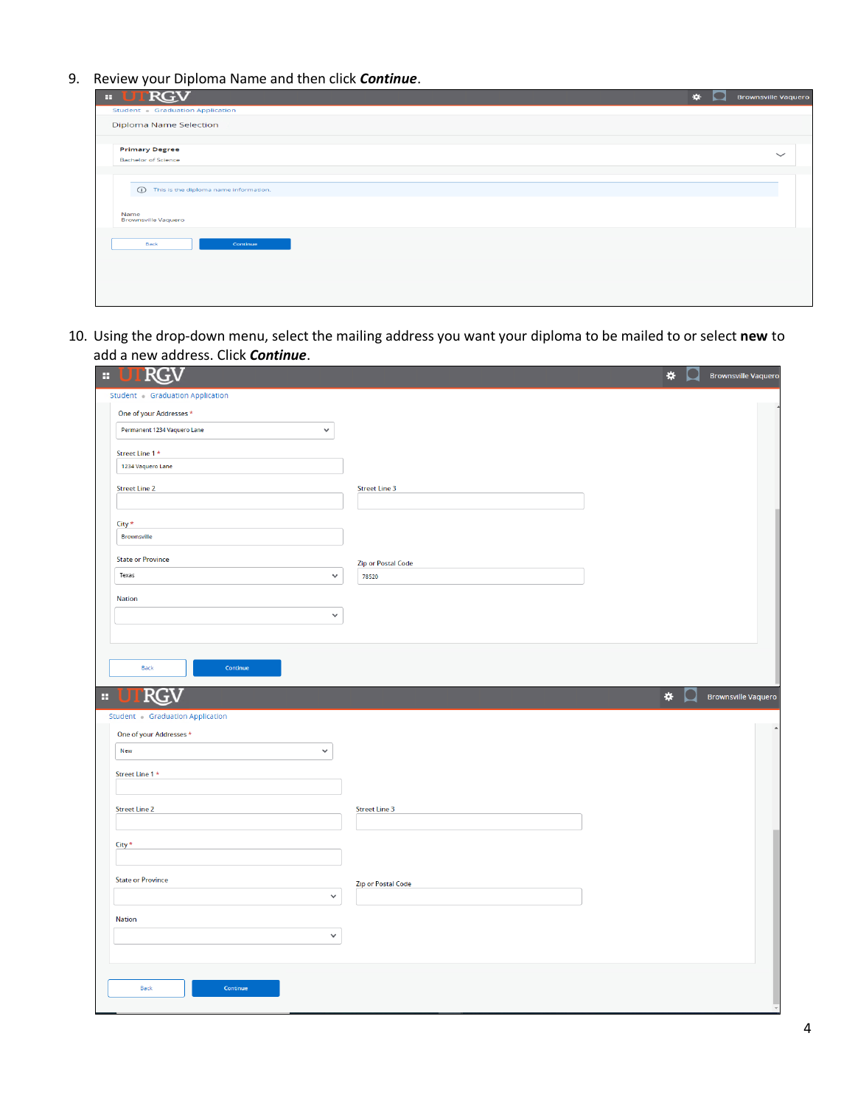9. Review your Diploma Name and then click *Continue*.

| <b>E UTRGV</b>                             | ₩ | <b>Brownsville Vaquero</b> |
|--------------------------------------------|---|----------------------------|
| Student - Graduation Application           |   |                            |
| <b>Diploma Name Selection</b>              |   |                            |
| <b>Primary Degree</b>                      |   | $\checkmark$               |
| <b>Bachelor of Science</b>                 |   |                            |
| (ii) This is the diploma name information. |   |                            |
| Name<br><b>Brownsville Vaquero</b>         |   |                            |
| <b>Back</b><br>Continue                    |   |                            |
|                                            |   |                            |

10. Using the drop-down menu, select the mailing address you want your diploma to be mailed to or select **new** to add a new address. Click *Continue*.

| RG<br>$\mathbf{a}$                          |                           | *       | <b>Brownsville Vaquerd</b> |
|---------------------------------------------|---------------------------|---------|----------------------------|
| Student Graduation Application              |                           |         |                            |
| One of your Addresses *                     |                           |         |                            |
| Permanent 1234 Vaquero Lane<br>$\checkmark$ |                           |         |                            |
| Street Line 1 *                             |                           |         |                            |
| 1234 Vaquero Lane                           |                           |         |                            |
| <b>Street Line 2</b>                        | <b>Street Line 3</b>      |         |                            |
| $City*$                                     |                           |         |                            |
| Brownsville                                 |                           |         |                            |
| <b>State or Province</b>                    | <b>Zip or Postal Code</b> |         |                            |
| Texas<br>$\checkmark$                       | 78520                     |         |                            |
| <b>Nation</b>                               |                           |         |                            |
| $\checkmark$                                |                           |         |                            |
|                                             |                           |         |                            |
|                                             |                           |         |                            |
| Continue<br>Back                            |                           |         |                            |
| <b>RG</b>                                   |                           |         |                            |
| H                                           |                           | $\star$ | <b>Brownsville Vaquero</b> |
| Student Graduation Application              |                           |         |                            |
| One of your Addresses *                     |                           |         |                            |
| New<br>$\checkmark$                         |                           |         |                            |
| Street Line 1 *                             |                           |         |                            |
|                                             |                           |         |                            |
| <b>Street Line 2</b>                        | <b>Street Line 3</b>      |         |                            |
|                                             |                           |         |                            |
| City *                                      |                           |         |                            |
|                                             |                           |         |                            |
| <b>State or Province</b>                    | <b>Zip or Postal Code</b> |         |                            |
| $\checkmark$                                |                           |         |                            |
| Nation                                      |                           |         |                            |
| $\checkmark$                                |                           |         |                            |
|                                             |                           |         |                            |
|                                             |                           |         |                            |
| Back<br>Continue                            |                           |         |                            |
|                                             |                           |         |                            |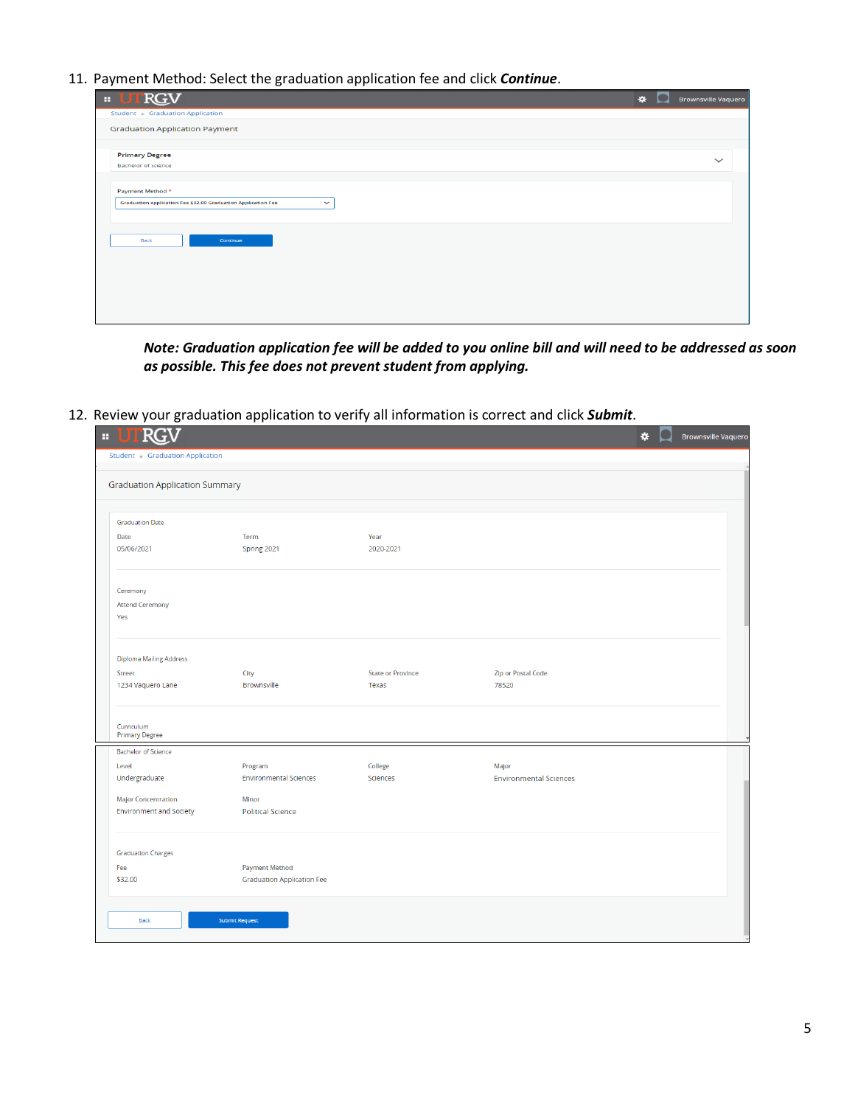11. Payment Method: Select the graduation application fee and click *Continue*.

| ,<br>ັ<br>. .                                                                 |                                            |
|-------------------------------------------------------------------------------|--------------------------------------------|
| TRGV<br>$\mathbf{H}$                                                          | $\star$<br>m<br><b>Brownsville Vaquero</b> |
| Student - Graduation Application                                              |                                            |
| <b>Graduation Application Payment</b>                                         |                                            |
| <b>Primary Degree</b>                                                         | $\checkmark$                               |
| <b>Bachelor of Science</b>                                                    |                                            |
|                                                                               |                                            |
| Payment Method *                                                              |                                            |
| Graduation Application Fee \$32.00 Graduation Application Fee<br>$\checkmark$ |                                            |
|                                                                               |                                            |
|                                                                               |                                            |
| Back<br>Continue                                                              |                                            |
|                                                                               |                                            |
|                                                                               |                                            |
|                                                                               |                                            |
|                                                                               |                                            |
|                                                                               |                                            |
|                                                                               |                                            |
|                                                                               |                                            |

*Note: Graduation application fee will be added to you online bill and will need to be addressed as soon as possible. This fee does not prevent student from applying.*

12. Review your graduation application to verify all information is correct and click *Submit*.

| Student Graduation Application        |                                          |                            |                                        |  |
|---------------------------------------|------------------------------------------|----------------------------|----------------------------------------|--|
| <b>Graduation Application Summary</b> |                                          |                            |                                        |  |
| <b>Graduation Date</b>                |                                          |                            |                                        |  |
| Date                                  | Term                                     | Year                       |                                        |  |
| 05/06/2021                            | Spring 2021                              | 2020-2021                  |                                        |  |
| Ceremony                              |                                          |                            |                                        |  |
| <b>Attend Ceremony</b>                |                                          |                            |                                        |  |
| Yes                                   |                                          |                            |                                        |  |
| <b>Diploma Mailing Address</b>        |                                          |                            |                                        |  |
| Street                                | City                                     | <b>State or Province</b>   | <b>Zip or Postal Code</b>              |  |
| 1234 Vaquero Lane                     | Brownsville                              | Texas                      | 78520                                  |  |
| Curriculum                            |                                          |                            |                                        |  |
| <b>Primary Degree</b>                 |                                          |                            |                                        |  |
| <b>Bachelor of Science</b><br>Level   |                                          |                            |                                        |  |
| Undergraduate                         | Program<br><b>Environmental Sciences</b> | College<br><b>Sciences</b> | Major<br><b>Environmental Sciences</b> |  |
|                                       |                                          |                            |                                        |  |
| <b>Major Concentration</b>            | Minor                                    |                            |                                        |  |
| <b>Environment and Society</b>        | <b>Political Science</b>                 |                            |                                        |  |
| <b>Graduation Charges</b>             |                                          |                            |                                        |  |
| Fee                                   | <b>Payment Method</b>                    |                            |                                        |  |
| \$32.00                               | <b>Graduation Application Fee</b>        |                            |                                        |  |
|                                       |                                          |                            |                                        |  |
| Back                                  | <b>Submit Request</b>                    |                            |                                        |  |
|                                       |                                          |                            |                                        |  |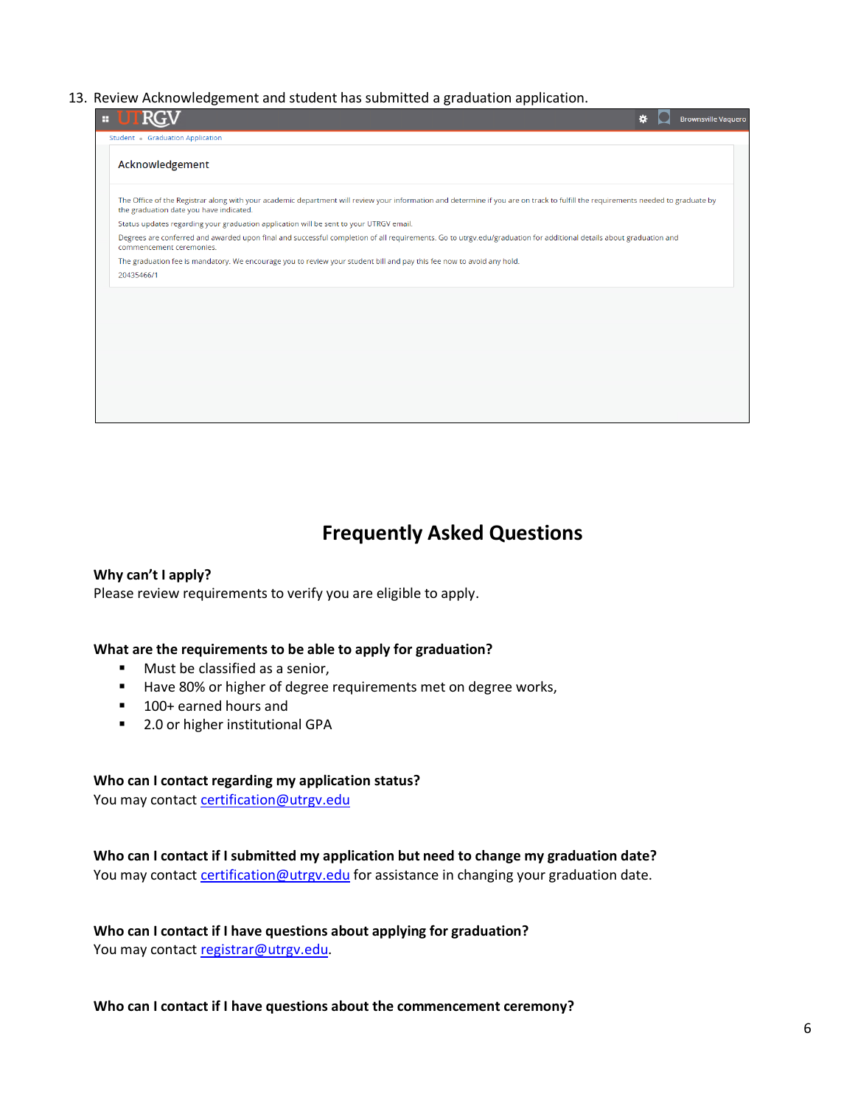#### 13. Review Acknowledgement and student has submitted a graduation application.

| Ŧ |                                                                                                                                                                                                                             | ∗ | <b>Brownsville Vaquero</b> |
|---|-----------------------------------------------------------------------------------------------------------------------------------------------------------------------------------------------------------------------------|---|----------------------------|
|   | Student Graduation Application                                                                                                                                                                                              |   |                            |
|   | Acknowledgement                                                                                                                                                                                                             |   |                            |
|   | The Office of the Registrar along with your academic department will review your information and determine if you are on track to fulfill the requirements needed to graduate by<br>the graduation date you have indicated. |   |                            |
|   | Status updates regarding your graduation application will be sent to your UTRGV email.                                                                                                                                      |   |                            |
|   | Degrees are conferred and awarded upon final and successful completion of all requirements. Go to utrgv.edu/graduation for additional details about graduation and<br>commencement ceremonies.                              |   |                            |
|   | The graduation fee is mandatory. We encourage you to review your student bill and pay this fee now to avoid any hold.<br>20435466/1                                                                                         |   |                            |
|   |                                                                                                                                                                                                                             |   |                            |
|   |                                                                                                                                                                                                                             |   |                            |
|   |                                                                                                                                                                                                                             |   |                            |
|   |                                                                                                                                                                                                                             |   |                            |
|   |                                                                                                                                                                                                                             |   |                            |
|   |                                                                                                                                                                                                                             |   |                            |

# **Frequently Asked Questions**

**Why can't I apply?**  Please review requirements to verify you are eligible to apply.

#### **What are the requirements to be able to apply for graduation?**

- Must be classified as a senior,
- Have 80% or higher of degree requirements met on degree works,
- 100+ earned hours and
- 2.0 or higher institutional GPA

#### **Who can I contact regarding my application status?**

You may contact certification@utrgv.edu

## **Who can I contact if I submitted my application but need to change my graduation date?**

You may contact [certification@utrgv.edu](mailto:certification@utrgv.edu) for assistance in changing your graduation date.

# **Who can I contact if I have questions about applying for graduation?**

You may contact [registrar@utrgv.edu.](mailto:registrar@utrgv.edu)

#### **Who can I contact if I have questions about the commencement ceremony?**